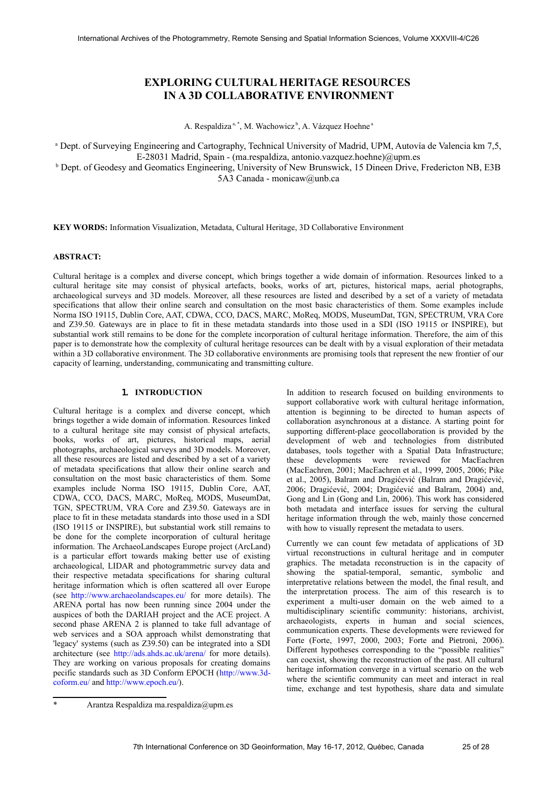# **EXPLORING CULTURAL HERITAGE RESOURCES IN A 3D COLLABORATIVE ENVIRONMENT**

A. Respaldiza<sup>a, [\\*](#page-0-0)</sup>, M. Wachowicz<sup>b</sup>, A. Vázquez Hoehne<sup>a</sup>

a Dept. of Surveying Engineering and Cartography, Technical University of Madrid, UPM, Autovía de Valencia km 7,5,

E-28031 Madrid, Spain - (ma.respaldiza, antonio.vazquez.hoehne)@upm.es

<sup>b</sup> Dept. of Geodesy and Geomatics Engineering, University of New Brunswick, 15 Dineen Drive, Fredericton NB, E3B 5A3 Canada - monicaw@unb.ca

**KEY WORDS:** Information Visualization, Metadata, Cultural Heritage, 3D Collaborative Environment

## **ABSTRACT:**

Cultural heritage is a complex and diverse concept, which brings together a wide domain of information. Resources linked to a cultural heritage site may consist of physical artefacts, books, works of art, pictures, historical maps, aerial photographs, archaeological surveys and 3D models. Moreover, all these resources are listed and described by a set of a variety of metadata specifications that allow their online search and consultation on the most basic characteristics of them. Some examples include Norma ISO 19115, Dublin Core, AAT, CDWA, CCO, DACS, MARC, MoReq, MODS, MuseumDat, TGN, SPECTRUM, VRA Core and Z39.50. Gateways are in place to fit in these metadata standards into those used in a SDI (ISO 19115 or INSPIRE), but substantial work still remains to be done for the complete incorporation of cultural heritage information. Therefore, the aim of this paper is to demonstrate how the complexity of cultural heritage resources can be dealt with by a visual exploration of their metadata within a 3D collaborative environment. The 3D collaborative environments are promising tools that represent the new frontier of our capacity of learning, understanding, communicating and transmitting culture.

# 1. **INTRODUCTION**

Cultural heritage is a complex and diverse concept, which brings together a wide domain of information. Resources linked to a cultural heritage site may consist of physical artefacts, books, works of art, pictures, historical maps, aerial photographs, archaeological surveys and 3D models. Moreover, all these resources are listed and described by a set of a variety of metadata specifications that allow their online search and consultation on the most basic characteristics of them. Some examples include Norma ISO 19115, Dublin Core, AAT, CDWA, CCO, DACS, MARC, MoReq, MODS, MuseumDat, TGN, SPECTRUM, VRA Core and Z39.50. Gateways are in place to fit in these metadata standards into those used in a SDI (ISO 19115 or INSPIRE), but substantial work still remains to be done for the complete incorporation of cultural heritage information. The ArchaeoLandscapes Europe project (ArcLand) is a particular effort towards making better use of existing archaeological, LIDAR and photogrammetric survey data and their respective metadata specifications for sharing cultural heritage information which is often scattered all over Europe (see<http://www.archaeolandscapes.eu/>for more details). The ARENA portal has now been running since 2004 under the auspices of both the DARIAH project and the ACE project. A second phase ARENA 2 is planned to take full advantage of web services and a SOA approach whilst demonstrating that 'legacy' systems (such as Z39.50) can be integrated into a SDI architecture (see<http://ads.ahds.ac.uk/arena/>for more details). They are working on various proposals for creating domains pecific standards such as 3D Conform EPOCH [\(http://www.3d](http://www.3d-coform.eu/)[coform.eu/](http://www.3d-coform.eu/) and [http://www.epoch.eu/\)](http://www.epoch.eu/).

In addition to research focused on building environments to support collaborative work with cultural heritage information, attention is beginning to be directed to human aspects of collaboration asynchronous at a distance. A starting point for supporting different-place geocollaboration is provided by the development of web and technologies from distributed databases, tools together with a Spatial Data Infrastructure; these developments were reviewed for MacEachren (MacEachren, 2001; MacEachren et al., 1999, 2005, 2006; Pike et al., 2005), Balram and Dragićević (Balram and Dragićević, 2006; Dragićević, 2004; Dragićević and Balram, 2004) and, Gong and Lin (Gong and Lin, 2006). This work has considered both metadata and interface issues for serving the cultural heritage information through the web, mainly those concerned with how to visually represent the metadata to users.

Currently we can count few metadata of applications of 3D virtual reconstructions in cultural heritage and in computer graphics. The metadata reconstruction is in the capacity of showing the spatial-temporal, semantic, symbolic and interpretative relations between the model, the final result, and the interpretation process. The aim of this research is to experiment a multi-user domain on the web aimed to a multidisciplinary scientific community: historians, archivist, archaeologists, experts in human and social sciences, communication experts. These developments were reviewed for Forte (Forte, 1997, 2000, 2003; Forte and Pietroni, 2006). Different hypotheses corresponding to the "possible realities" can coexist, showing the reconstruction of the past. All cultural heritage information converge in a virtual scenario on the web where the scientific community can meet and interact in real time, exchange and test hypothesis, share data and simulate

<span id="page-0-0"></span><sup>\*</sup> Arantza Respaldiza ma.respaldiza@upm.es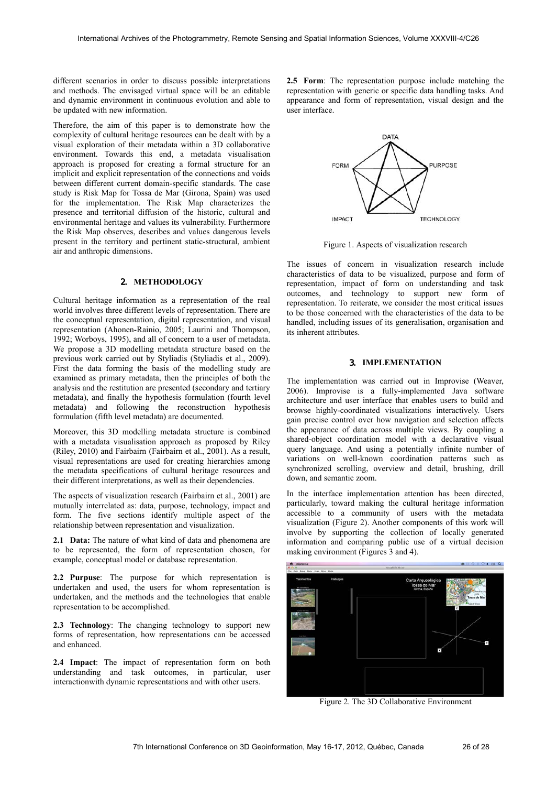different scenarios in order to discuss possible interpretations and methods. The envisaged virtual space will be an editable and dynamic environment in continuous evolution and able to be updated with new information.

Therefore, the aim of this paper is to demonstrate how the complexity of cultural heritage resources can be dealt with by a visual exploration of their metadata within a 3D collaborative environment. Towards this end, a metadata visualisation approach is proposed for creating a formal structure for an implicit and explicit representation of the connections and voids between different current domain-specific standards. The case study is Risk Map for Tossa de Mar (Girona, Spain) was used for the implementation. The Risk Map characterizes the presence and territorial diffusion of the historic, cultural and environmental heritage and values its vulnerability. Furthermore the Risk Map observes, describes and values dangerous levels present in the territory and pertinent static-structural, ambient air and anthropic dimensions.

# 2. **METHODOLOGY**

Cultural heritage information as a representation of the real world involves three different levels of representation. There are the conceptual representation, digital representation, and visual representation (Ahonen-Rainio, 2005; Laurini and Thompson, 1992; Worboys, 1995), and all of concern to a user of metadata. We propose a 3D modelling metadata structure based on the previous work carried out by Styliadis (Styliadis et al., 2009). First the data forming the basis of the modelling study are examined as primary metadata, then the principles of both the analysis and the restitution are presented (secondary and tertiary metadata), and finally the hypothesis formulation (fourth level metadata) and following the reconstruction hypothesis formulation (fifth level metadata) are documented.

Moreover, this 3D modelling metadata structure is combined with a metadata visualisation approach as proposed by Riley (Riley, 2010) and Fairbairn (Fairbairn et al., 2001). As a result, visual representations are used for creating hierarchies among the metadata specifications of cultural heritage resources and their different interpretations, as well as their dependencies.

The aspects of visualization research (Fairbairn et al., 2001) are mutually interrelated as: data, purpose, technology, impact and form. The five sections identify multiple aspect of the relationship between representation and visualization.

**2.1 Data:** The nature of what kind of data and phenomena are to be represented, the form of representation chosen, for example, conceptual model or database representation.

**2.2 Purpuse**: The purpose for which representation is undertaken and used, the users for whom representation is undertaken, and the methods and the technologies that enable representation to be accomplished.

**2.3 Technology**: The changing technology to support new forms of representation, how representations can be accessed and enhanced.

**2.4 Impact**: The impact of representation form on both understanding and task outcomes, in particular, user interactionwith dynamic representations and with other users.

**2.5 Form**: The representation purpose include matching the representation with generic or specific data handling tasks. And appearance and form of representation, visual design and the user interface.



Figure 1. Aspects of visualization research

The issues of concern in visualization research include characteristics of data to be visualized, purpose and form of representation, impact of form on understanding and task outcomes, and technology to support new form of representation. To reiterate, we consider the most critical issues to be those concerned with the characteristics of the data to be handled, including issues of its generalisation, organisation and its inherent attributes.

## 3. **IMPLEMENTATION**

The implementation was carried out in Improvise (Weaver, 2006). Improvise is a fully-implemented Java software architecture and user interface that enables users to build and browse highly-coordinated visualizations interactively. Users gain precise control over how navigation and selection affects the appearance of data across multiple views. By coupling a shared-object coordination model with a declarative visual query language. And using a potentially infinite number of variations on well-known coordination patterns such as synchronized scrolling, overview and detail, brushing, drill down, and semantic zoom.

In the interface implementation attention has been directed, particularly, toward making the cultural heritage information accessible to a community of users with the metadata visualization (Figure 2). Another components of this work will involve by supporting the collection of locally generated information and comparing public use of a virtual decision making environment (Figures 3 and 4).



Figure 2. The 3D Collaborative Environment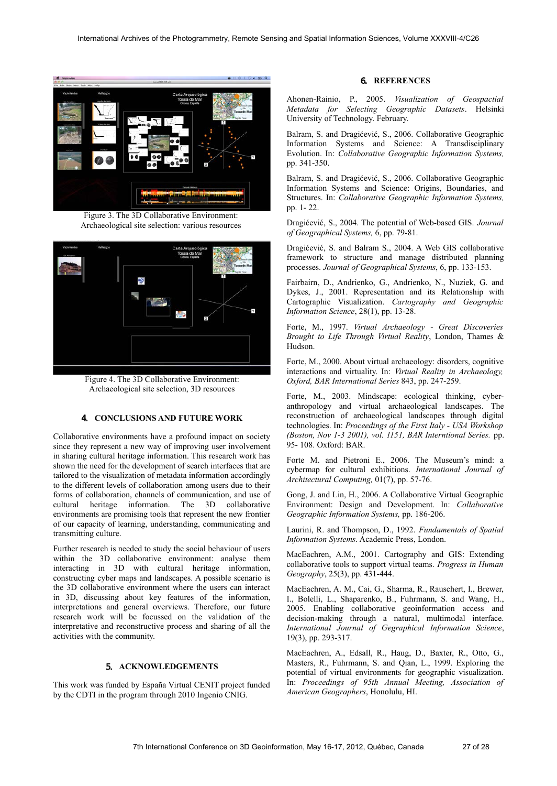

Figure 3. The 3D Collaborative Environment: Archaeological site selection: various resources



Figure 4. The 3D Collaborative Environment: Archaeological site selection, 3D resources

## 4. **CONCLUSIONS AND FUTURE WORK**

Collaborative environments have a profound impact on society since they represent a new way of improving user involvement in sharing cultural heritage information. This research work has shown the need for the development of search interfaces that are tailored to the visualization of metadata information accordingly to the different levels of collaboration among users due to their forms of collaboration, channels of communication, and use of cultural heritage information. The 3D collaborative environments are promising tools that represent the new frontier of our capacity of learning, understanding, communicating and transmitting culture.

Further research is needed to study the social behaviour of users within the 3D collaborative environment: analyse them interacting in 3D with cultural heritage information, constructing cyber maps and landscapes. A possible scenario is the 3D collaborative environment where the users can interact in 3D, discussing about key features of the information, interpretations and general overviews. Therefore, our future research work will be focussed on the validation of the interpretative and reconstructive process and sharing of all the activities with the community.

# 5. **ACKNOWLEDGEMENTS**

This work was funded by España Virtual CENIT project funded by the CDTI in the program through 2010 Ingenio CNIG.

## 6. **REFERENCES**

Ahonen-Rainio, P., 2005. *Visualization of Geospactial Metadata for Selecting Geographic Datasets*. Helsinki University of Technology. February.

Balram, S. and Dragićević, S., 2006. Collaborative Geographic Information Systems and Science: A Transdisciplinary Evolution. In: *Collaborative Geographic Information Systems,*  pp. 341-350.

Balram, S. and Dragićević, S., 2006. Collaborative Geographic Information Systems and Science: Origins, Boundaries, and Structures. In: *Collaborative Geographic Information Systems,*  pp. 1- 22.

Dragićević, S., 2004. The potential of Web-based GIS. *Journal of Geographical Systems,* 6, pp. 79-81.

Dragićević, S. and Balram S., 2004. A Web GIS collaborative framework to structure and manage distributed planning processes. *Journal of Geographical Systems*, 6, pp. 133-153.

Fairbairn, D., Andrienko, G., Andrienko, N., Nuziek, G. and Dykes, J., 2001. Representation and its Relationship with Cartographic Visualization. *Cartography and Geographic Information Science*, 28(1), pp. 13-28.

Forte, M., 1997. *Virtual Archaeology - Great Discoveries Brought to Life Through Virtual Reality*, London, Thames & Hudson.

Forte, M., 2000. About virtual archaeology: disorders, cognitive interactions and virtuality. In: *Virtual Reality in Archaeology, Oxford, BAR International Series* 843, pp. 247-259.

Forte, M., 2003. Mindscape: ecological thinking, cyberanthropology and virtual archaeological landscapes. The reconstruction of archaeological landscapes through digital technologies. In: *Proceedings of the First Italy - USA Workshop (Boston, Nov 1-3 2001), vol. 1151, BAR Interntional Series.* pp. 95- 108. Oxford: BAR.

Forte M. and Pietroni E., 2006. The Museum's mind: a cybermap for cultural exhibitions. *International Journal of Architectural Computing,* 01(7), pp. 57-76.

Gong, J. and Lin, H., 2006. A Collaborative Virtual Geographic Environment: Design and Development. In: *Collaborative Geographic Information Systems,* pp. 186-206.

Laurini, R. and Thompson, D., 1992. *Fundamentals of Spatial Information Systems*. Academic Press, London.

MacEachren, A.M., 2001. Cartography and GIS: Extending collaborative tools to support virtual teams. *Progress in Human Geography*, 25(3), pp. 431-444.

MacEachren, A. M., Cai, G., Sharma, R., Rauschert, I., Brewer, I., Bolelli, L., Shaparenko, B., Fuhrmann, S. and Wang, H., 2005. Enabling collaborative geoinformation access and decision-making through a natural, multimodal interface. *International Journal of Gegraphical Information Science*, 19(3), pp. 293-317.

MacEachren, A., Edsall, R., Haug, D., Baxter, R., Otto, G., Masters, R., Fuhrmann, S. and Qian, L., 1999. Exploring the potential of virtual environments for geographic visualization. In: *Proceedings of 95th Annual Meeting, Association of American Geographers*, Honolulu, HI.